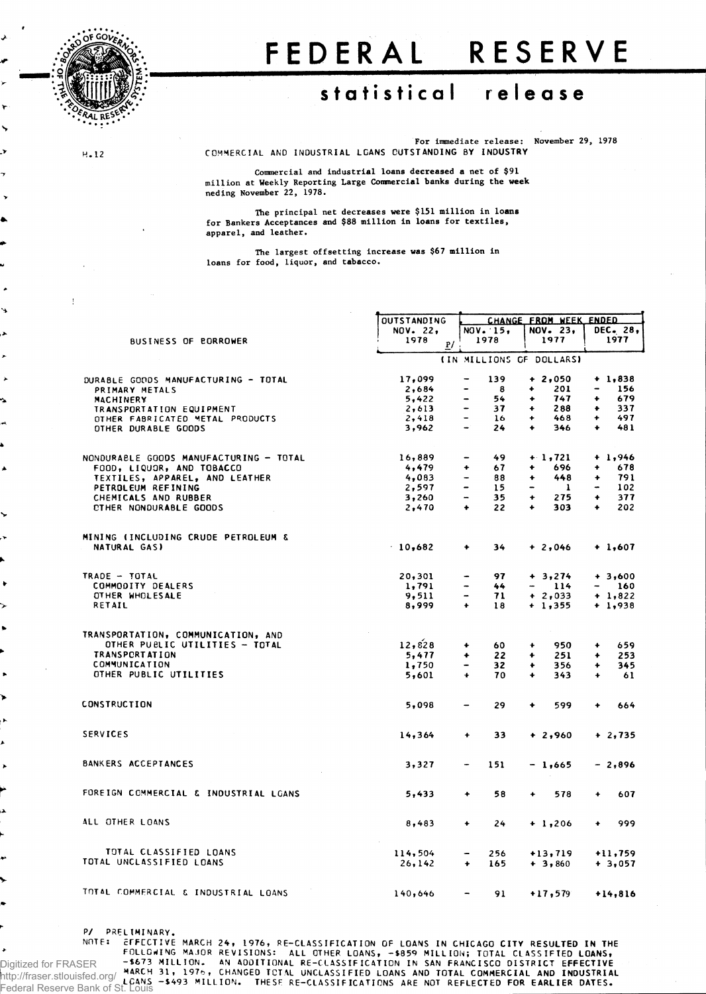

H. 12

۲

5

 $\ddot{\phantom{0}}$ 

Ä

## FEDERAL RESERVE

## **statistica l releas e**

For immediate release: November 29, 1978 COMMERCIAL AND INDUSTRIAL LOANS OUTSTANDING BY INDUSTRY

Commercial and industrial loans decreased a net of \$91 million at Weekly Reporting Large Commercial banks during the week neding November 22, 1978.

The principal net decreases were \$151 million in loans for Bankers Acceptances and \$88 million in loans for textiles, apparel, and leather.

The largest offsetting increase was \$67 million in loans for food, liquor, and tabacco.

|                                        | <b>OUTSTANDING</b> |                              | CHANGE FROM WEEK ENDED |                          |                          |                          |           |  |  |
|----------------------------------------|--------------------|------------------------------|------------------------|--------------------------|--------------------------|--------------------------|-----------|--|--|
|                                        | NOV. 22,           |                              | NOV. 15,               |                          | NOV. 23,                 | DEC. 28,                 |           |  |  |
| BUSINESS OF BORROWER                   | 1978<br>P/         |                              | 1978                   |                          | 1977                     |                          | 1977      |  |  |
|                                        |                    |                              |                        |                          |                          |                          |           |  |  |
|                                        |                    |                              |                        |                          | (IN MILLIONS OF DOLLARS) |                          |           |  |  |
| DURABLE GOODS MANUFACTURING - TOTAL    | 17,099             | $\qquad \qquad$              | 139                    |                          | $+2,050$                 |                          | $+1,838$  |  |  |
| PRIMARY METALS                         | 2,684              |                              | 8                      | ۰                        | 201                      | $\overline{\phantom{m}}$ | 156       |  |  |
| <b>MACHINERY</b>                       | 5,422              | -                            | 54                     | ۰                        | 747                      | ۰                        | 679       |  |  |
| TRANSPORTATION EQUIPMENT               | 2,613              | -                            | 37                     | ۰                        | 288                      | $\bullet$                | 337       |  |  |
| OTHER FABRICATED METAL PRODUCTS        | 2,418              | $\qquad \qquad -$            | 16                     | ٠                        | 468                      | ٠                        | 497       |  |  |
| OTHER DURABLE GOODS                    | 3,962              | $\frac{1}{2}$                | 24                     | $\ddot{\phantom{1}}$     | 346                      | $\ddotmark$              | 481       |  |  |
| NONDURABLE GOODS MANUFACTURING - TOTAL | 16,889             | -                            | 49                     |                          | $+1,721$                 |                          | $+ 1,946$ |  |  |
| FOOD, LIQUOR, AND TOBACCO              | 4,479              | ٠                            | 67                     | ۰                        | 696                      | ۰                        | 678       |  |  |
| TEXTILES, APPAREL, AND LEATHER         | 4,083              | $\ddot{\phantom{1}}$         | 88                     | ۰                        | 448                      | ٠                        | 791       |  |  |
| PETROLEUM REFINING                     | 2,597              | -                            | 15                     | $\overline{\phantom{0}}$ | 1                        |                          | 102       |  |  |
| CHEMICALS AND RUBBER                   | 3,260              | $\overline{\phantom{0}}$     | 35                     | ۰                        | 275                      | ۰                        | 377       |  |  |
| CTHER NONDURABLE GOODS                 | 2,470              | ۰                            | 22                     | $\ddot{}$                | 303                      | $\ddot{}$                | 202       |  |  |
|                                        |                    |                              |                        |                          |                          |                          |           |  |  |
| MINING (INCLUDING CRUDE PETROLEUM &    |                    |                              |                        |                          |                          |                          |           |  |  |
| NATURAL GAS)                           | 10,682             | ۰                            | 34                     |                          | $+2,046$                 |                          | $+1,607$  |  |  |
| TRADE - TOTAL                          | 20,301             |                              | 97                     |                          | $+3,274$                 |                          | $+3,600$  |  |  |
| COMMODITY DEALERS                      | 1,791              | ۰                            | 44                     |                          | 114<br>$ -$              | $\overline{\phantom{0}}$ | 160       |  |  |
| OTHER WHOLESALE                        | 9,511              | $\qquad \qquad \blacksquare$ | 71                     |                          | $+2,033$                 |                          | $+ 1,822$ |  |  |
| RETAIL                                 | 8,999              | ٠                            | 18                     |                          | $+1,355$                 |                          | $+ 1,938$ |  |  |
|                                        |                    |                              |                        |                          |                          |                          |           |  |  |
| TRANSPORTATION, COMMUNICATION, AND     |                    |                              |                        |                          |                          |                          |           |  |  |
| OTHER PUBLIC UTILITIES - TOTAL         | 12,828             | ۰                            | 60                     | ۰                        | 950                      | ۰                        | 659       |  |  |
| <b>TRANSPORTATION</b>                  | 5,477              | ٠                            | 22                     | ۰                        | 251                      | ٠                        | 253       |  |  |
| COMMUNICATION                          | 1,750              | $\qquad \qquad \blacksquare$ | 32                     | ۰                        | 356                      | ٠                        | 345       |  |  |
| OTHER PUBLIC UTILITIES                 | 5,601              | $\ddot{\phantom{1}}$         | 70                     | $\ddotmark$              | 343                      | $\ddotmark$              | 61        |  |  |
| <b>CONSTRUCTION</b>                    | 5,098              | $\overline{\phantom{0}}$     | 29                     | ۰                        | 599                      | ٠                        | 664       |  |  |
|                                        |                    |                              |                        |                          |                          |                          |           |  |  |
| <b>SERVICES</b>                        | 14,364             | $\ddot{}$                    | 33                     |                          | $+2,960$                 |                          | $+2,735$  |  |  |
| BANKERS ACCEPTANCES                    | 3,327              | $\qquad \qquad \blacksquare$ | 151                    |                          | - 1,665                  |                          | $-2,896$  |  |  |
|                                        |                    |                              |                        |                          |                          |                          |           |  |  |
| FOREIGN COMMERCIAL & INDUSTRIAL LGANS  | 5,433              | $\ddotmark$                  | 58                     | ٠                        | 578                      | ٠                        | 607       |  |  |
| ALL OTHER LOANS                        | 8,483              | $\bullet$                    | 24                     |                          | $+1,206$                 | ٠                        | 999       |  |  |
|                                        |                    |                              |                        |                          |                          |                          |           |  |  |
| TOTAL CLASSIFIED LOANS                 | 114,504            | $\overline{\phantom{a}}$     | 256                    |                          | $+13,719$                |                          | $+11,759$ |  |  |
| TOTAL UNCLASSIFIED LOANS               | 26,142             | ۰                            | 165                    |                          | $+3,860$                 |                          | $+3,057$  |  |  |
| TOTAL COMMERCIAL & INDUSTRIAL LOANS    | 140,646            | $\overline{\phantom{a}}$     | 91                     |                          | $+17,579$                |                          | $+14,816$ |  |  |
|                                        |                    |                              |                        |                          |                          |                          |           |  |  |

P/ PRELIMINARY.

NOTE: EFFECTIVE MARCH 24, 1976, RE-CLASSIFICATION OF LOANS IN CHICAGO CITY RESULTED IN THE<br>FOLLOWING MAJOR REVISIONS: ALL OTHER LOANS, -\$859 MILLION; TOTAL CLASSIFIED LOANS,<br>ER →\$673 MILLION. AN AODITIONAL RE-CLASSIFIED L FOLLOWING MAJOR<br>-\$673 MILLION.<br>MARCH 31, 1976, LCANS -\$493 MILLION. THESF RE-CLASSIFICATIONS ARE NOT REFLECTED FOR EARLIER DATES. Digitized for FRASER http://fraser.stlouisfed.org/ Federal Reserve Bank of St. Louis